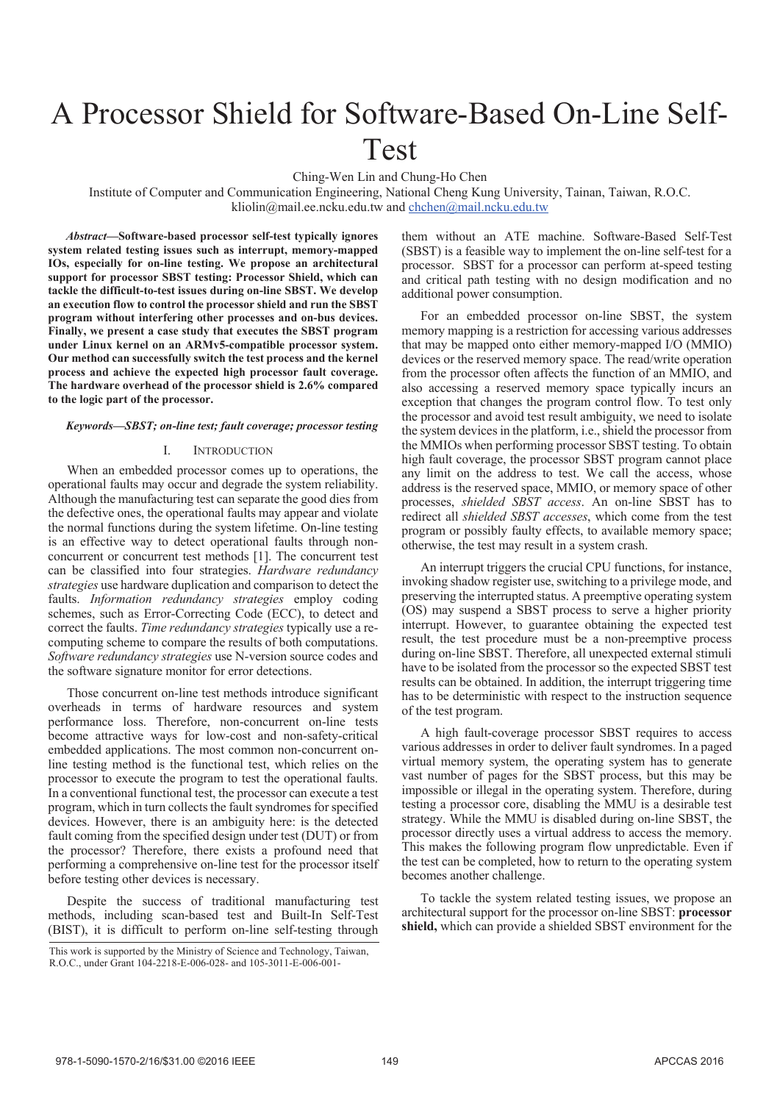# A Processor Shield for Software-Based On-Line Self-Test

Ching-Wen Lin and Chung-Ho Chen

Institute of Computer and Communication Engineering, National Cheng Kung University, Tainan, Taiwan, R.O.C. kliolin@mail.ee.ncku.edu.tw and chchen@mail.ncku.edu.tw

*Abstract***—Software-based processor self-test typically ignores system related testing issues such as interrupt, memory-mapped IOs, especially for on-line testing. We propose an architectural support for processor SBST testing: Processor Shield, which can tackle the difficult-to-test issues during on-line SBST. We develop an execution flow to control the processor shield and run the SBST program without interfering other processes and on-bus devices. Finally, we present a case study that executes the SBST program under Linux kernel on an ARMv5-compatible processor system. Our method can successfully switch the test process and the kernel process and achieve the expected high processor fault coverage. The hardware overhead of the processor shield is 2.6% compared to the logic part of the processor.** 

# *Keywords—SBST; on-line test; fault coverage; processor testing*

# I. INTRODUCTION

When an embedded processor comes up to operations, the operational faults may occur and degrade the system reliability. Although the manufacturing test can separate the good dies from the defective ones, the operational faults may appear and violate the normal functions during the system lifetime. On-line testing is an effective way to detect operational faults through nonconcurrent or concurrent test methods [1]. The concurrent test can be classified into four strategies. *Hardware redundancy strategies* use hardware duplication and comparison to detect the faults. *Information redundancy strategies* employ coding schemes, such as Error-Correcting Code (ECC), to detect and correct the faults. *Time redundancy strategies* typically use a recomputing scheme to compare the results of both computations. *Software redundancy strategies* use N-version source codes and the software signature monitor for error detections.

Those concurrent on-line test methods introduce significant overheads in terms of hardware resources and system performance loss. Therefore, non-concurrent on-line tests become attractive ways for low-cost and non-safety-critical embedded applications. The most common non-concurrent online testing method is the functional test, which relies on the processor to execute the program to test the operational faults. In a conventional functional test, the processor can execute a test program, which in turn collects the fault syndromes for specified devices. However, there is an ambiguity here: is the detected fault coming from the specified design under test (DUT) or from the processor? Therefore, there exists a profound need that performing a comprehensive on-line test for the processor itself before testing other devices is necessary.

Despite the success of traditional manufacturing test methods, including scan-based test and Built-In Self-Test (BIST), it is difficult to perform on-line self-testing through them without an ATE machine. Software-Based Self-Test (SBST) is a feasible way to implement the on-line self-test for a processor. SBST for a processor can perform at-speed testing and critical path testing with no design modification and no additional power consumption.

For an embedded processor on-line SBST, the system memory mapping is a restriction for accessing various addresses that may be mapped onto either memory-mapped I/O (MMIO) devices or the reserved memory space. The read/write operation from the processor often affects the function of an MMIO, and also accessing a reserved memory space typically incurs an exception that changes the program control flow. To test only the processor and avoid test result ambiguity, we need to isolate the system devices in the platform, i.e., shield the processor from the MMIOs when performing processor SBST testing. To obtain high fault coverage, the processor SBST program cannot place any limit on the address to test. We call the access, whose address is the reserved space, MMIO, or memory space of other processes, *shielded SBST access*. An on-line SBST has to redirect all *shielded SBST accesses*, which come from the test program or possibly faulty effects, to available memory space; otherwise, the test may result in a system crash.

An interrupt triggers the crucial CPU functions, for instance, invoking shadow register use, switching to a privilege mode, and preserving the interrupted status. A preemptive operating system (OS) may suspend a SBST process to serve a higher priority interrupt. However, to guarantee obtaining the expected test result, the test procedure must be a non-preemptive process during on-line SBST. Therefore, all unexpected external stimuli have to be isolated from the processor so the expected SBST test results can be obtained. In addition, the interrupt triggering time has to be deterministic with respect to the instruction sequence of the test program.

A high fault-coverage processor SBST requires to access various addresses in order to deliver fault syndromes. In a paged virtual memory system, the operating system has to generate vast number of pages for the SBST process, but this may be impossible or illegal in the operating system. Therefore, during testing a processor core, disabling the MMU is a desirable test strategy. While the MMU is disabled during on-line SBST, the processor directly uses a virtual address to access the memory. This makes the following program flow unpredictable. Even if the test can be completed, how to return to the operating system becomes another challenge.

To tackle the system related testing issues, we propose an architectural support for the processor on-line SBST: **processor shield,** which can provide a shielded SBST environment for the

This work is supported by the Ministry of Science and Technology, Taiwan, R.O.C., under Grant 104-2218-E-006-028- and 105-3011-E-006-001-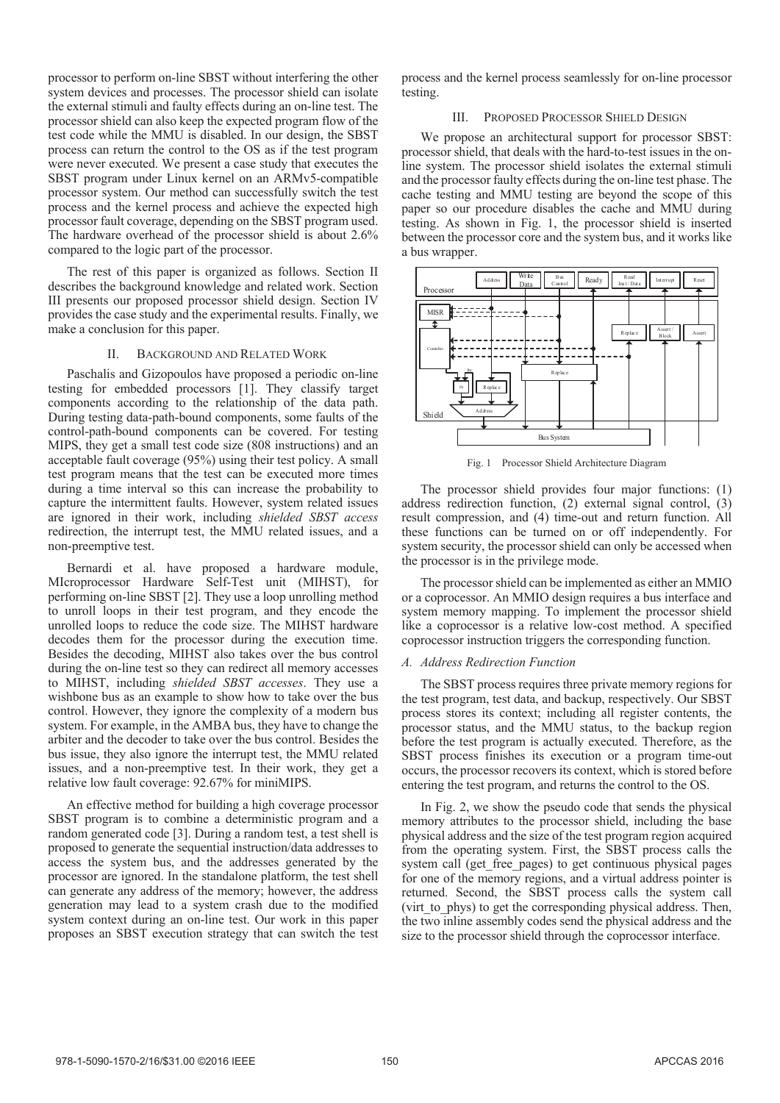processor to perform on-line SBST without interfering the other system devices and processes. The processor shield can isolate the external stimuli and faulty effects during an on-line test. The processor shield can also keep the expected program flow of the test code while the MMU is disabled. In our design, the SBST process can return the control to the OS as if the test program were never executed. We present a case study that executes the SBST program under Linux kernel on an ARMv5-compatible processor system. Our method can successfully switch the test process and the kernel process and achieve the expected high processor fault coverage, depending on the SBST program used. The hardware overhead of the processor shield is about 2.6% compared to the logic part of the processor.

The rest of this paper is organized as follows. Section II describes the background knowledge and related work. Section III presents our proposed processor shield design. Section IV provides the case study and the experimental results. Finally, we make a conclusion for this paper.

# II. BACKGROUND AND RELATED WORK

Paschalis and Gizopoulos have proposed a periodic on-line testing for embedded processors [1]. They classify target components according to the relationship of the data path. During testing data-path-bound components, some faults of the control-path-bound components can be covered. For testing MIPS, they get a small test code size (808 instructions) and an acceptable fault coverage (95%) using their test policy. A small test program means that the test can be executed more times during a time interval so this can increase the probability to capture the intermittent faults. However, system related issues are ignored in their work, including *shielded SBST access*  redirection, the interrupt test, the MMU related issues, and a non-preemptive test.

Bernardi et al. have proposed a hardware module, MIcroprocessor Hardware Self-Test unit (MIHST), for performing on-line SBST [2]. They use a loop unrolling method to unroll loops in their test program, and they encode the unrolled loops to reduce the code size. The MIHST hardware decodes them for the processor during the execution time. Besides the decoding, MIHST also takes over the bus control during the on-line test so they can redirect all memory accesses to MIHST, including *shielded SBST accesses*. They use a wishbone bus as an example to show how to take over the bus control. However, they ignore the complexity of a modern bus system. For example, in the AMBA bus, they have to change the arbiter and the decoder to take over the bus control. Besides the bus issue, they also ignore the interrupt test, the MMU related issues, and a non-preemptive test. In their work, they get a relative low fault coverage: 92.67% for miniMIPS.

An effective method for building a high coverage processor SBST program is to combine a deterministic program and a random generated code [3]. During a random test, a test shell is proposed to generate the sequential instruction/data addresses to access the system bus, and the addresses generated by the processor are ignored. In the standalone platform, the test shell can generate any address of the memory; however, the address generation may lead to a system crash due to the modified system context during an on-line test. Our work in this paper proposes an SBST execution strategy that can switch the test

process and the kernel process seamlessly for on-line processor testing.

# III. PROPOSED PROCESSOR SHIELD DESIGN

We propose an architectural support for processor SBST: processor shield, that deals with the hard-to-test issues in the online system. The processor shield isolates the external stimuli and the processor faulty effects during the on-line test phase. The cache testing and MMU testing are beyond the scope of this paper so our procedure disables the cache and MMU during testing. As shown in Fig. 1, the processor shield is inserted between the processor core and the system bus, and it works like a bus wrapper.



Fig. 1 Processor Shield Architecture Diagram

The processor shield provides four major functions: (1) address redirection function, (2) external signal control, (3) result compression, and (4) time-out and return function. All these functions can be turned on or off independently. For system security, the processor shield can only be accessed when the processor is in the privilege mode.

The processor shield can be implemented as either an MMIO or a coprocessor. An MMIO design requires a bus interface and system memory mapping. To implement the processor shield like a coprocessor is a relative low-cost method. A specified coprocessor instruction triggers the corresponding function.

# *A. Address Redirection Function*

The SBST process requires three private memory regions for the test program, test data, and backup, respectively. Our SBST process stores its context; including all register contents, the processor status, and the MMU status, to the backup region before the test program is actually executed. Therefore, as the SBST process finishes its execution or a program time-out occurs, the processor recovers its context, which is stored before entering the test program, and returns the control to the OS.

In Fig. 2, we show the pseudo code that sends the physical memory attributes to the processor shield, including the base physical address and the size of the test program region acquired from the operating system. First, the SBST process calls the system call (get free pages) to get continuous physical pages for one of the memory regions, and a virtual address pointer is returned. Second, the SBST process calls the system call (virt to phys) to get the corresponding physical address. Then, the two inline assembly codes send the physical address and the size to the processor shield through the coprocessor interface.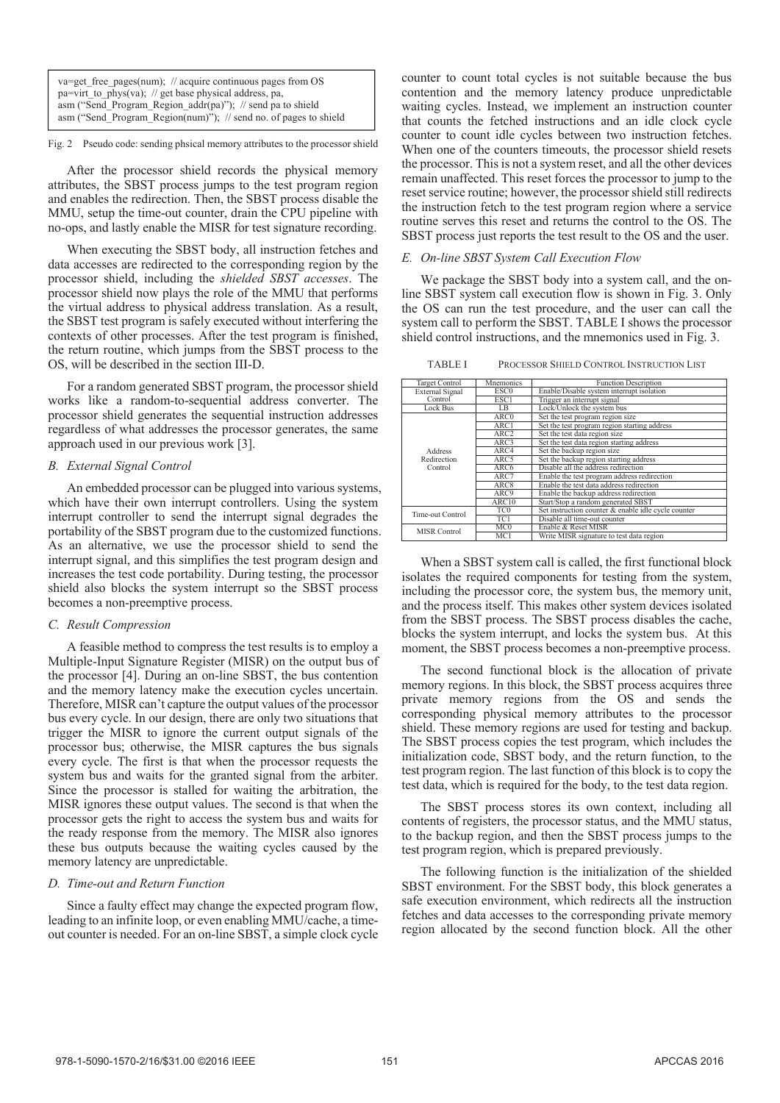| $va = get$ free pages(num); // acquire continuous pages from OS  |  |  |  |
|------------------------------------------------------------------|--|--|--|
| pa=virt to phys(va); // get base physical address, pa,           |  |  |  |
| asm ("Send Program Region $addr(pa)$ "); // send pa to shield    |  |  |  |
| asm ("Send Program Region(num)"); // send no. of pages to shield |  |  |  |

Fig. 2 Pseudo code: sending phsical memory attributes to the processor shield

After the processor shield records the physical memory attributes, the SBST process jumps to the test program region and enables the redirection. Then, the SBST process disable the MMU, setup the time-out counter, drain the CPU pipeline with no-ops, and lastly enable the MISR for test signature recording.

 When executing the SBST body, all instruction fetches and data accesses are redirected to the corresponding region by the processor shield, including the *shielded SBST accesses*. The processor shield now plays the role of the MMU that performs the virtual address to physical address translation. As a result, the SBST test program is safely executed without interfering the contexts of other processes. After the test program is finished, the return routine, which jumps from the SBST process to the OS, will be described in the section III-D.

For a random generated SBST program, the processor shield works like a random-to-sequential address converter. The processor shield generates the sequential instruction addresses regardless of what addresses the processor generates, the same approach used in our previous work [3].

# *B. External Signal Control*

An embedded processor can be plugged into various systems, which have their own interrupt controllers. Using the system interrupt controller to send the interrupt signal degrades the portability of the SBST program due to the customized functions. As an alternative, we use the processor shield to send the interrupt signal, and this simplifies the test program design and increases the test code portability. During testing, the processor shield also blocks the system interrupt so the SBST process becomes a non-preemptive process.

#### *C. Result Compression*

A feasible method to compress the test results is to employ a Multiple-Input Signature Register (MISR) on the output bus of the processor [4]. During an on-line SBST, the bus contention and the memory latency make the execution cycles uncertain. Therefore, MISR can't capture the output values of the processor bus every cycle. In our design, there are only two situations that trigger the MISR to ignore the current output signals of the processor bus; otherwise, the MISR captures the bus signals every cycle. The first is that when the processor requests the system bus and waits for the granted signal from the arbiter. Since the processor is stalled for waiting the arbitration, the MISR ignores these output values. The second is that when the processor gets the right to access the system bus and waits for the ready response from the memory. The MISR also ignores these bus outputs because the waiting cycles caused by the memory latency are unpredictable.

# *D. Time-out and Return Function*

Since a faulty effect may change the expected program flow, leading to an infinite loop, or even enabling MMU/cache, a timeout counter is needed. For an on-line SBST, a simple clock cycle

counter to count total cycles is not suitable because the bus contention and the memory latency produce unpredictable waiting cycles. Instead, we implement an instruction counter that counts the fetched instructions and an idle clock cycle counter to count idle cycles between two instruction fetches. When one of the counters timeouts, the processor shield resets the processor. This is not a system reset, and all the other devices remain unaffected. This reset forces the processor to jump to the reset service routine; however, the processor shield still redirects the instruction fetch to the test program region where a service routine serves this reset and returns the control to the OS. The SBST process just reports the test result to the OS and the user.

# *E. On-line SBST System Call Execution Flow*

We package the SBST body into a system call, and the online SBST system call execution flow is shown in Fig. 3. Only the OS can run the test procedure, and the user can call the system call to perform the SBST. TABLE I shows the processor shield control instructions, and the mnemonics used in Fig. 3.

TABLE I PROCESSOR SHIELD CONTROL INSTRUCTION LIST

| <b>Target Control</b>             | Mnemonics        | <b>Function Description</b>                         |  |  |
|-----------------------------------|------------------|-----------------------------------------------------|--|--|
| <b>External Signal</b>            | ESC <sub>0</sub> | Enable/Disable system interrupt isolation           |  |  |
| Control                           | ESC1             | Trigger an interrupt signal                         |  |  |
| Lock Bus                          | LB               | Lock/Unlock the system bus                          |  |  |
| Address<br>Redirection<br>Control | ARC0             | Set the test program region size                    |  |  |
|                                   | ARC1             | Set the test program region starting address        |  |  |
|                                   | ARC <sub>2</sub> | Set the test data region size                       |  |  |
|                                   | ARC3             | Set the test data region starting address           |  |  |
|                                   | ARC4             | Set the backup region size                          |  |  |
|                                   | ARC5             | Set the backup region starting address              |  |  |
|                                   | ARC <sub>6</sub> | Disable all the address redirection                 |  |  |
|                                   | ARC7             | Enable the test program address redirection         |  |  |
|                                   | ARC8             | Enable the test data address redirection            |  |  |
|                                   | ARC9             | Enable the backup address redirection               |  |  |
|                                   | ARC10            | Start/Stop a random generated SBST                  |  |  |
| Time-out Control                  | TC0              | Set instruction counter & enable idle cycle counter |  |  |
|                                   | TC1              | Disable all time-out counter                        |  |  |
| <b>MISR Control</b>               | MC0              | Enable & Reset MISR                                 |  |  |
|                                   | MC1              | Write MISR signature to test data region            |  |  |

When a SBST system call is called, the first functional block isolates the required components for testing from the system, including the processor core, the system bus, the memory unit, and the process itself. This makes other system devices isolated from the SBST process. The SBST process disables the cache, blocks the system interrupt, and locks the system bus. At this moment, the SBST process becomes a non-preemptive process.

The second functional block is the allocation of private memory regions. In this block, the SBST process acquires three private memory regions from the OS and sends the corresponding physical memory attributes to the processor shield. These memory regions are used for testing and backup. The SBST process copies the test program, which includes the initialization code, SBST body, and the return function, to the test program region. The last function of this block is to copy the test data, which is required for the body, to the test data region.

The SBST process stores its own context, including all contents of registers, the processor status, and the MMU status, to the backup region, and then the SBST process jumps to the test program region, which is prepared previously.

The following function is the initialization of the shielded SBST environment. For the SBST body, this block generates a safe execution environment, which redirects all the instruction fetches and data accesses to the corresponding private memory region allocated by the second function block. All the other